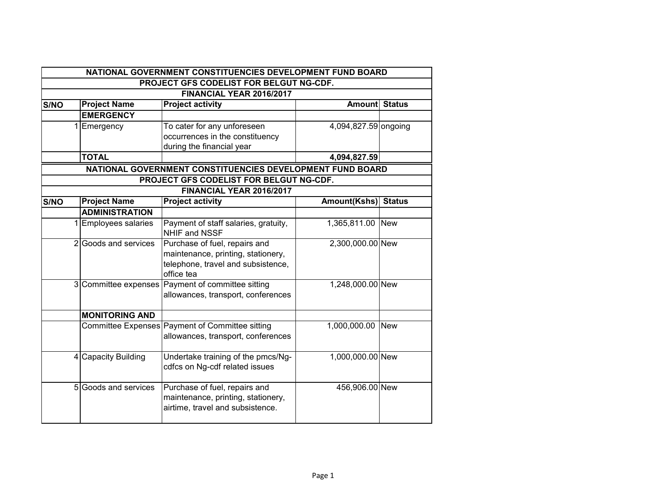|      | NATIONAL GOVERNMENT CONSTITUENCIES DEVELOPMENT FUND BOARD |                                                           |                      |               |  |  |  |
|------|-----------------------------------------------------------|-----------------------------------------------------------|----------------------|---------------|--|--|--|
|      |                                                           | PROJECT GFS CODELIST FOR BELGUT NG-CDF.                   |                      |               |  |  |  |
|      | FINANCIAL YEAR 2016/2017                                  |                                                           |                      |               |  |  |  |
| S/NO | <b>Project Name</b>                                       | <b>Project activity</b>                                   | <b>Amount Status</b> |               |  |  |  |
|      | <b>EMERGENCY</b>                                          |                                                           |                      |               |  |  |  |
|      | Emergency                                                 | To cater for any unforeseen                               | 4,094,827.59 ongoing |               |  |  |  |
|      |                                                           | occurrences in the constituency                           |                      |               |  |  |  |
|      |                                                           | during the financial year                                 |                      |               |  |  |  |
|      | <b>TOTAL</b>                                              |                                                           | 4,094,827.59         |               |  |  |  |
|      |                                                           | NATIONAL GOVERNMENT CONSTITUENCIES DEVELOPMENT FUND BOARD |                      |               |  |  |  |
|      |                                                           | PROJECT GFS CODELIST FOR BELGUT NG-CDF.                   |                      |               |  |  |  |
|      |                                                           | FINANCIAL YEAR 2016/2017                                  |                      |               |  |  |  |
| S/NO | <b>Project Name</b>                                       | <b>Project activity</b>                                   | Amount(Kshs)         | <b>Status</b> |  |  |  |
|      | <b>ADMINISTRATION</b>                                     |                                                           |                      |               |  |  |  |
|      | <b>Employees salaries</b>                                 | Payment of staff salaries, gratuity,                      | 1,365,811.00         | <b>New</b>    |  |  |  |
|      |                                                           | NHIF and NSSF                                             |                      |               |  |  |  |
|      | 2 Goods and services                                      | Purchase of fuel, repairs and                             | 2,300,000.00 New     |               |  |  |  |
|      |                                                           | maintenance, printing, stationery,                        |                      |               |  |  |  |
|      |                                                           | telephone, travel and subsistence,                        |                      |               |  |  |  |
|      |                                                           | office tea                                                |                      |               |  |  |  |
|      |                                                           | 3 Committee expenses Payment of committee sitting         | 1,248,000.00 New     |               |  |  |  |
|      |                                                           | allowances, transport, conferences                        |                      |               |  |  |  |
|      |                                                           |                                                           |                      |               |  |  |  |
|      | <b>MONITORING AND</b>                                     |                                                           |                      |               |  |  |  |
|      |                                                           | Committee Expenses Payment of Committee sitting           | 1,000,000.00         | <b>New</b>    |  |  |  |
|      |                                                           | allowances, transport, conferences                        |                      |               |  |  |  |
|      | 4 Capacity Building                                       | Undertake training of the pmcs/Ng-                        | 1,000,000.00 New     |               |  |  |  |
|      |                                                           | cdfcs on Ng-cdf related issues                            |                      |               |  |  |  |
|      |                                                           |                                                           |                      |               |  |  |  |
|      | 5 Goods and services                                      | Purchase of fuel, repairs and                             | 456,906.00 New       |               |  |  |  |
|      |                                                           | maintenance, printing, stationery,                        |                      |               |  |  |  |
|      |                                                           | airtime, travel and subsistence.                          |                      |               |  |  |  |
|      |                                                           |                                                           |                      |               |  |  |  |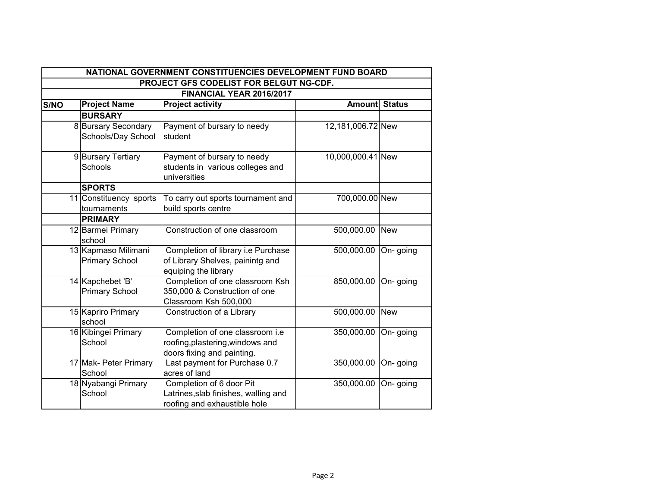|      | NATIONAL GOVERNMENT CONSTITUENCIES DEVELOPMENT FUND BOARD |                                                                                                   |                       |            |  |  |  |
|------|-----------------------------------------------------------|---------------------------------------------------------------------------------------------------|-----------------------|------------|--|--|--|
|      |                                                           | PROJECT GFS CODELIST FOR BELGUT NG-CDF.                                                           |                       |            |  |  |  |
|      | FINANCIAL YEAR 2016/2017                                  |                                                                                                   |                       |            |  |  |  |
| S/NO | <b>Project Name</b>                                       | <b>Project activity</b>                                                                           | <b>Amountl Status</b> |            |  |  |  |
|      | <b>BURSARY</b>                                            |                                                                                                   |                       |            |  |  |  |
|      | 8 Bursary Secondary<br>Schools/Day School                 | Payment of bursary to needy<br>student                                                            | 12,181,006.72 New     |            |  |  |  |
|      | 9 Bursary Tertiary<br>Schools                             | Payment of bursary to needy<br>students in various colleges and<br>universities                   | 10,000,000.41 New     |            |  |  |  |
|      | <b>SPORTS</b>                                             |                                                                                                   |                       |            |  |  |  |
|      | 11 Constituency sports<br>tournaments                     | To carry out sports tournament and<br>build sports centre                                         | 700,000.00 New        |            |  |  |  |
|      | <b>PRIMARY</b>                                            |                                                                                                   |                       |            |  |  |  |
|      | 12 Barmei Primary<br>school                               | Construction of one classroom                                                                     | 500,000.00            | <b>New</b> |  |  |  |
|      | 13 Kapmaso Milimani<br><b>Primary School</b>              | Completion of library i.e Purchase<br>of Library Shelves, painintg and<br>equiping the library    | 500,000.00            | On-going   |  |  |  |
|      | 14 Kapchebet 'B'<br><b>Primary School</b>                 | Completion of one classroom Ksh<br>350,000 & Construction of one<br>Classroom Ksh 500,000         | 850,000.00            | On-going   |  |  |  |
|      | 15 Kapriro Primary<br>school                              | Construction of a Library                                                                         | 500,000.00            | <b>New</b> |  |  |  |
|      | 16 Kibingei Primary<br>School                             | Completion of one classroom i.e<br>roofing, plastering, windows and<br>doors fixing and painting. | 350,000.00            | On-going   |  |  |  |
|      | 17 Mak- Peter Primary<br>School                           | Last payment for Purchase 0.7<br>acres of land                                                    | 350,000.00            | On-going   |  |  |  |
|      | 18 Nyabangi Primary<br>School                             | Completion of 6 door Pit<br>Latrines, slab finishes, walling and<br>roofing and exhaustible hole  | 350,000.00            | On-going   |  |  |  |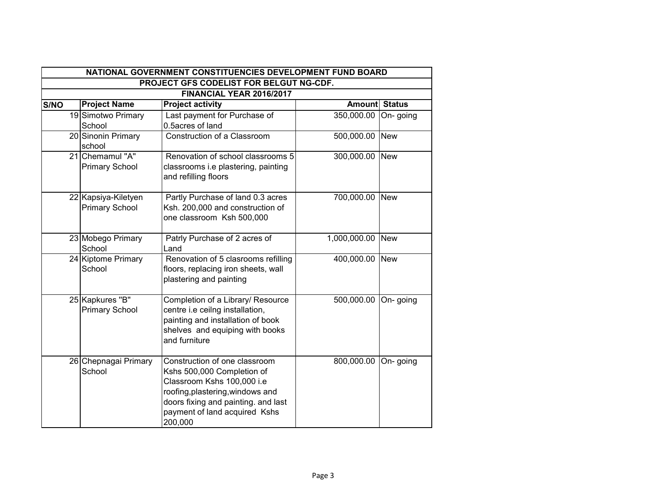|      | NATIONAL GOVERNMENT CONSTITUENCIES DEVELOPMENT FUND BOARD |                                              |                                                                                                                                                                                                                  |                      |            |  |
|------|-----------------------------------------------------------|----------------------------------------------|------------------------------------------------------------------------------------------------------------------------------------------------------------------------------------------------------------------|----------------------|------------|--|
|      | PROJECT GFS CODELIST FOR BELGUT NG-CDF.                   |                                              |                                                                                                                                                                                                                  |                      |            |  |
|      |                                                           |                                              | FINANCIAL YEAR 2016/2017                                                                                                                                                                                         |                      |            |  |
| S/NO |                                                           | <b>Project Name</b>                          | <b>Project activity</b>                                                                                                                                                                                          | <b>Amount Status</b> |            |  |
|      |                                                           | 19 Simotwo Primary                           | Last payment for Purchase of                                                                                                                                                                                     | 350,000.00           | On-going   |  |
|      |                                                           | School                                       | 0.5acres of land                                                                                                                                                                                                 |                      |            |  |
|      |                                                           | 20 Sinonin Primary<br>school                 | Construction of a Classroom                                                                                                                                                                                      | 500,000.00           | <b>New</b> |  |
|      |                                                           | 21 Chemamul "A"<br><b>Primary School</b>     | Renovation of school classrooms 5<br>classrooms i.e plastering, painting<br>and refilling floors                                                                                                                 | 300,000.00           | <b>New</b> |  |
|      |                                                           | 22 Kapsiya-Kiletyen<br><b>Primary School</b> | Partly Purchase of land 0.3 acres<br>Ksh. 200,000 and construction of<br>one classroom Ksh 500,000                                                                                                               | 700,000.00           | <b>New</b> |  |
|      |                                                           | 23 Mobego Primary<br>School                  | Patrly Purchase of 2 acres of<br>Land                                                                                                                                                                            | 1,000,000.00         | <b>New</b> |  |
|      |                                                           | 24 Kiptome Primary<br>School                 | Renovation of 5 clasrooms refilling<br>floors, replacing iron sheets, wall<br>plastering and painting                                                                                                            | 400,000.00           | <b>New</b> |  |
|      |                                                           | 25 Kapkures "B"<br><b>Primary School</b>     | Completion of a Library/ Resource<br>centre i.e ceilng installation,<br>painting and installation of book<br>shelves and equiping with books<br>and furniture                                                    | 500,000.00           | On-going   |  |
|      |                                                           | 26 Chepnagai Primary<br>School               | Construction of one classroom<br>Kshs 500,000 Completion of<br>Classroom Kshs 100,000 i.e<br>roofing, plastering, windows and<br>doors fixing and painting. and last<br>payment of land acquired Kshs<br>200,000 | 800,000.00           | On-going   |  |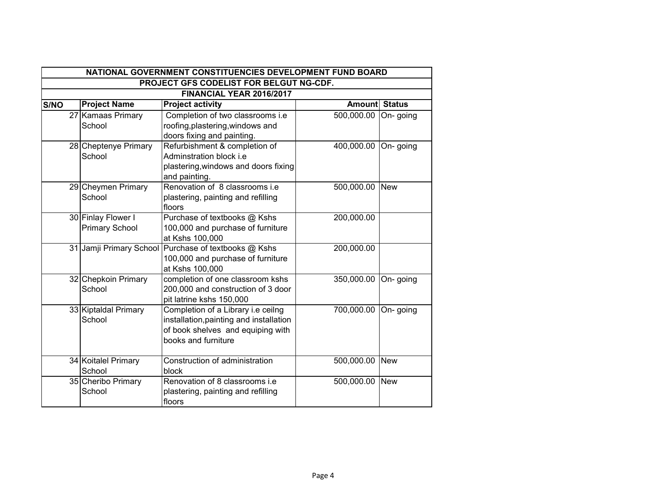|      | NATIONAL GOVERNMENT CONSTITUENCIES DEVELOPMENT FUND BOARD |                       |                                                      |                      |            |  |  |
|------|-----------------------------------------------------------|-----------------------|------------------------------------------------------|----------------------|------------|--|--|
|      | PROJECT GFS CODELIST FOR BELGUT NG-CDF.                   |                       |                                                      |                      |            |  |  |
|      | FINANCIAL YEAR 2016/2017                                  |                       |                                                      |                      |            |  |  |
| S/NO |                                                           | <b>Project Name</b>   | <b>Project activity</b>                              | <b>Amount Status</b> |            |  |  |
|      |                                                           | 27 Kamaas Primary     | Completion of two classrooms i.e                     | 500,000.00           | On-going   |  |  |
|      |                                                           | School                | roofing, plastering, windows and                     |                      |            |  |  |
|      |                                                           |                       | doors fixing and painting.                           |                      |            |  |  |
|      |                                                           | 28 Cheptenye Primary  | Refurbishment & completion of                        | 400,000.00           | On-going   |  |  |
|      |                                                           | School                | Adminstration block i.e                              |                      |            |  |  |
|      |                                                           |                       | plastering, windows and doors fixing                 |                      |            |  |  |
|      |                                                           |                       | and painting.                                        |                      |            |  |  |
|      |                                                           | 29 Cheymen Primary    | Renovation of 8 classrooms i.e.                      | 500,000.00           | <b>New</b> |  |  |
|      |                                                           | School                | plastering, painting and refilling                   |                      |            |  |  |
|      |                                                           |                       | floors                                               |                      |            |  |  |
|      |                                                           | 30 Finlay Flower I    | Purchase of textbooks @ Kshs                         | 200,000.00           |            |  |  |
|      |                                                           | <b>Primary School</b> | 100,000 and purchase of furniture                    |                      |            |  |  |
|      |                                                           |                       | at Kshs 100,000                                      |                      |            |  |  |
|      |                                                           |                       | 31 Jamji Primary School Purchase of textbooks @ Kshs | 200,000.00           |            |  |  |
|      |                                                           |                       | 100,000 and purchase of furniture                    |                      |            |  |  |
|      |                                                           |                       | at Kshs 100,000                                      |                      |            |  |  |
|      |                                                           | 32 Chepkoin Primary   | completion of one classroom kshs                     | 350,000.00           | On-going   |  |  |
|      |                                                           | School                | 200,000 and construction of 3 door                   |                      |            |  |  |
|      |                                                           |                       | pit latrine kshs 150,000                             |                      |            |  |  |
|      |                                                           | 33 Kiptaldal Primary  | Completion of a Library i.e ceilng                   | 700,000.00           | On-going   |  |  |
|      |                                                           | School                | installation, painting and installation              |                      |            |  |  |
|      |                                                           |                       | of book shelves and equiping with                    |                      |            |  |  |
|      |                                                           |                       | books and furniture                                  |                      |            |  |  |
|      |                                                           |                       |                                                      |                      |            |  |  |
|      |                                                           | 34 Koitalel Primary   | Construction of administration                       | 500,000.00           | <b>New</b> |  |  |
|      |                                                           | School                | block                                                |                      |            |  |  |
|      |                                                           | 35 Cheribo Primary    | Renovation of 8 classrooms i.e.                      | 500,000.00           | <b>New</b> |  |  |
|      |                                                           | School                | plastering, painting and refilling                   |                      |            |  |  |
|      |                                                           |                       | floors                                               |                      |            |  |  |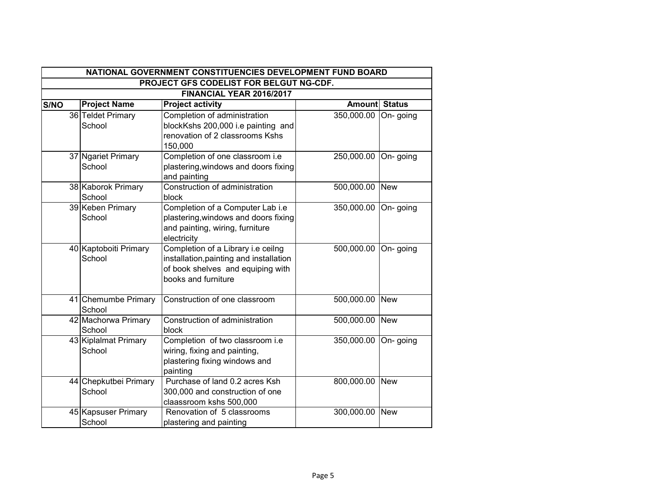|      | NATIONAL GOVERNMENT CONSTITUENCIES DEVELOPMENT FUND BOARD |                                 |                                                                                                                                           |                      |             |  |  |
|------|-----------------------------------------------------------|---------------------------------|-------------------------------------------------------------------------------------------------------------------------------------------|----------------------|-------------|--|--|
|      | PROJECT GFS CODELIST FOR BELGUT NG-CDF.                   |                                 |                                                                                                                                           |                      |             |  |  |
|      | FINANCIAL YEAR 2016/2017                                  |                                 |                                                                                                                                           |                      |             |  |  |
| S/NO |                                                           | <b>Project Name</b>             | <b>Project activity</b>                                                                                                                   | <b>Amount Status</b> |             |  |  |
|      |                                                           | 36 Teldet Primary<br>School     | Completion of administration<br>blockKshs 200,000 i.e painting and<br>renovation of 2 classrooms Kshs                                     | 350,000.00           | On-going    |  |  |
|      |                                                           | 37 Ngariet Primary<br>School    | 150,000<br>Completion of one classroom i.e<br>plastering, windows and doors fixing<br>and painting                                        | 250,000.00 On- going |             |  |  |
|      |                                                           | 38 Kaborok Primary<br>School    | Construction of administration<br>block                                                                                                   | 500,000.00 New       |             |  |  |
|      |                                                           | 39 Keben Primary<br>School      | Completion of a Computer Lab i.e<br>plastering, windows and doors fixing<br>and painting, wiring, furniture<br>electricity                | 350,000.00           | On-going    |  |  |
|      |                                                           | 40 Kaptoboiti Primary<br>School | Completion of a Library i.e ceilng<br>installation, painting and installation<br>of book shelves and equiping with<br>books and furniture | 500,000.00           | On-going    |  |  |
|      |                                                           | 41 Chemumbe Primary<br>School   | Construction of one classroom                                                                                                             | 500,000.00           | <b>TNew</b> |  |  |
|      |                                                           | 42 Machorwa Primary<br>School   | Construction of administration<br>block                                                                                                   | 500,000.00 New       |             |  |  |
|      |                                                           | 43 Kiplalmat Primary<br>School  | Completion of two classroom i.e<br>wiring, fixing and painting,<br>plastering fixing windows and<br>painting                              | 350,000.00           | On-going    |  |  |
|      |                                                           | 44 Chepkutbei Primary<br>School | Purchase of land 0.2 acres Ksh<br>300,000 and construction of one<br>claassroom kshs 500,000                                              | 800,000.00 New       |             |  |  |
|      |                                                           | 45 Kapsuser Primary<br>School   | Renovation of 5 classrooms<br>plastering and painting                                                                                     | 300,000.00           | <b>New</b>  |  |  |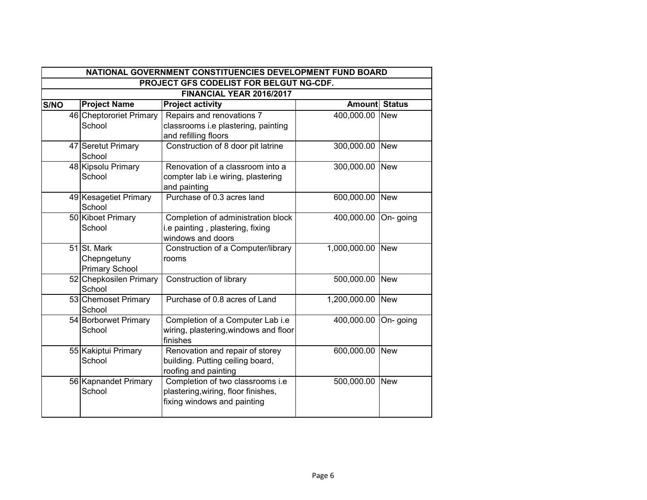|      | NATIONAL GOVERNMENT CONSTITUENCIES DEVELOPMENT FUND BOARD |                                                     |                                                                                                        |                      |            |  |  |
|------|-----------------------------------------------------------|-----------------------------------------------------|--------------------------------------------------------------------------------------------------------|----------------------|------------|--|--|
|      | PROJECT GFS CODELIST FOR BELGUT NG-CDF.                   |                                                     |                                                                                                        |                      |            |  |  |
|      |                                                           |                                                     | FINANCIAL YEAR 2016/2017                                                                               |                      |            |  |  |
| S/NO |                                                           | <b>Project Name</b>                                 | <b>Project activity</b>                                                                                | <b>Amount Status</b> |            |  |  |
|      |                                                           | 46 Cheptororiet Primary                             | Repairs and renovations 7                                                                              | 400,000.00 New       |            |  |  |
|      |                                                           | School                                              | classrooms i.e plastering, painting<br>and refilling floors                                            |                      |            |  |  |
|      |                                                           | 47 Seretut Primary<br>School                        | Construction of 8 door pit latrine                                                                     | 300,000.00 New       |            |  |  |
|      |                                                           | 48 Kipsolu Primary<br>School                        | Renovation of a classroom into a<br>compter lab i.e wiring, plastering<br>and painting                 | 300,000.00 New       |            |  |  |
|      |                                                           | 49 Kesagetiet Primary<br>School                     | Purchase of 0.3 acres land                                                                             | 600,000.00 New       |            |  |  |
|      |                                                           | 50 Kiboet Primary<br>School                         | Completion of administration block<br>i.e painting, plastering, fixing<br>windows and doors            | 400,000.00           | On-going   |  |  |
|      |                                                           | 51 St. Mark<br>Chepngetuny<br><b>Primary School</b> | Construction of a Computer/library<br>rooms                                                            | 1,000,000.00 New     |            |  |  |
|      |                                                           | 52 Chepkosilen Primary<br>School                    | Construction of library                                                                                | 500,000.00 New       |            |  |  |
|      |                                                           | 53 Chemoset Primary<br>School                       | Purchase of 0.8 acres of Land                                                                          | 1,200,000.00         | <b>New</b> |  |  |
|      |                                                           | 54 Borborwet Primary<br>School                      | Completion of a Computer Lab i.e<br>wiring, plastering, windows and floor<br>finishes                  | 400,000.00           | On-going   |  |  |
|      |                                                           | 55 Kakiptui Primary<br>School                       | Renovation and repair of storey<br>building. Putting ceiling board,<br>roofing and painting            | 600,000.00           | <b>New</b> |  |  |
|      |                                                           | 56 Kapnandet Primary<br>School                      | Completion of two classrooms i.e<br>plastering, wiring, floor finishes,<br>fixing windows and painting | 500,000.00           | <b>New</b> |  |  |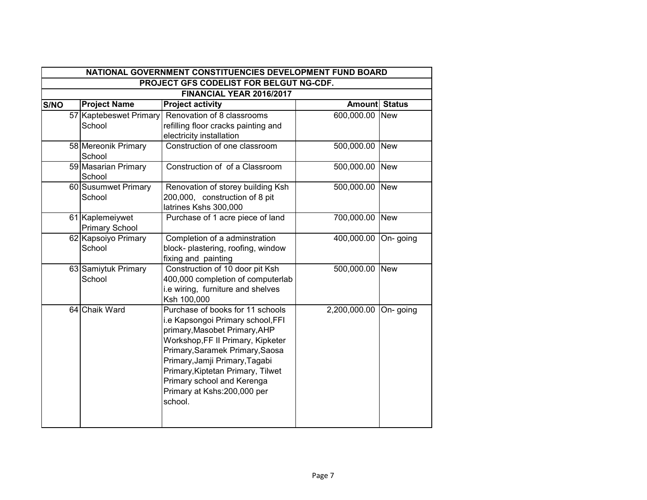| NATIONAL GOVERNMENT CONSTITUENCIES DEVELOPMENT FUND BOARD |                                          |                                                                                                                                                                                                                                                                                                                               |                      |            |  |  |  |
|-----------------------------------------------------------|------------------------------------------|-------------------------------------------------------------------------------------------------------------------------------------------------------------------------------------------------------------------------------------------------------------------------------------------------------------------------------|----------------------|------------|--|--|--|
|                                                           | PROJECT GFS CODELIST FOR BELGUT NG-CDF.  |                                                                                                                                                                                                                                                                                                                               |                      |            |  |  |  |
|                                                           |                                          | FINANCIAL YEAR 2016/2017                                                                                                                                                                                                                                                                                                      |                      |            |  |  |  |
| S/NO                                                      | <b>Project Name</b>                      | <b>Project activity</b>                                                                                                                                                                                                                                                                                                       | <b>Amount Status</b> |            |  |  |  |
|                                                           | 57 Kaptebeswet Primary<br>School         | Renovation of 8 classrooms<br>refilling floor cracks painting and<br>electricity installation                                                                                                                                                                                                                                 | 600,000.00           | <b>New</b> |  |  |  |
|                                                           | 58 Mereonik Primary<br>School            | Construction of one classroom                                                                                                                                                                                                                                                                                                 | 500,000.00           | <b>New</b> |  |  |  |
|                                                           | 59 Masarian Primary<br>School            | Construction of of a Classroom                                                                                                                                                                                                                                                                                                | 500,000.00           | <b>New</b> |  |  |  |
|                                                           | 60 Susumwet Primary<br>School            | Renovation of storey building Ksh<br>200,000, construction of 8 pit<br>latrines Kshs 300,000                                                                                                                                                                                                                                  | 500,000.00 New       |            |  |  |  |
|                                                           | 61 Kaplemeiywet<br><b>Primary School</b> | Purchase of 1 acre piece of land                                                                                                                                                                                                                                                                                              | 700,000.00           | <b>New</b> |  |  |  |
|                                                           | 62 Kapsoiyo Primary<br>School            | Completion of a adminstration<br>block- plastering, roofing, window<br>fixing and painting                                                                                                                                                                                                                                    | 400,000.00           | On-going   |  |  |  |
|                                                           | 63 Samiytuk Primary<br>School            | Construction of 10 door pit Ksh<br>400,000 completion of computerlab<br>i.e wiring, furniture and shelves<br>Ksh 100,000                                                                                                                                                                                                      | 500,000.00           | <b>New</b> |  |  |  |
|                                                           | 64 Chaik Ward                            | Purchase of books for 11 schools<br>i.e Kapsongoi Primary school, FFI<br>primary, Masobet Primary, AHP<br>Workshop, FF II Primary, Kipketer<br>Primary, Saramek Primary, Saosa<br>Primary, Jamji Primary, Tagabi<br>Primary, Kiptetan Primary, Tilwet<br>Primary school and Kerenga<br>Primary at Kshs:200,000 per<br>school. | 2,200,000.00         | On-going   |  |  |  |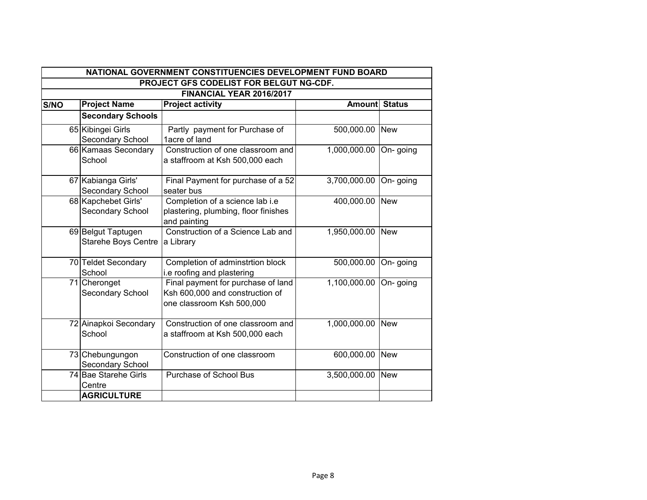|      | NATIONAL GOVERNMENT CONSTITUENCIES DEVELOPMENT FUND BOARD |                                                                                                    |               |               |  |  |  |
|------|-----------------------------------------------------------|----------------------------------------------------------------------------------------------------|---------------|---------------|--|--|--|
|      |                                                           | PROJECT GFS CODELIST FOR BELGUT NG-CDF.                                                            |               |               |  |  |  |
|      | FINANCIAL YEAR 2016/2017                                  |                                                                                                    |               |               |  |  |  |
| S/NO | <b>Project Name</b>                                       | <b>Project activity</b>                                                                            | <b>Amount</b> | <b>Status</b> |  |  |  |
|      | <b>Secondary Schools</b>                                  |                                                                                                    |               |               |  |  |  |
|      | 65 Kibingei Girls                                         | Partly payment for Purchase of                                                                     | 500,000.00    | <b>New</b>    |  |  |  |
|      | Secondary School                                          | 1acre of land                                                                                      |               |               |  |  |  |
|      | 66 Kamaas Secondary<br>School                             | Construction of one classroom and<br>a staffroom at Ksh 500,000 each                               | 1,000,000.00  | On-going      |  |  |  |
|      | 67 Kabianga Girls'<br>Secondary School                    | Final Payment for purchase of a 52<br>seater bus                                                   | 3,700,000.00  | On-going      |  |  |  |
|      | 68 Kapchebet Girls'<br>Secondary School                   | Completion of a science lab i.e<br>plastering, plumbing, floor finishes<br>and painting            | 400,000.00    | <b>New</b>    |  |  |  |
|      | 69 Belgut Taptugen<br><b>Starehe Boys Centre</b>          | Construction of a Science Lab and<br>a Library                                                     | 1,950,000.00  | <b>New</b>    |  |  |  |
|      | 70 Teldet Secondary<br>School                             | Completion of adminstrtion block<br>i.e roofing and plastering                                     | 500,000.00    | On-going      |  |  |  |
|      | 71 Cheronget<br>Secondary School                          | Final payment for purchase of land<br>Ksh 600,000 and construction of<br>one classroom Ksh 500,000 | 1,100,000.00  | On-going      |  |  |  |
|      | 72 Ainapkoi Secondary<br>School                           | Construction of one classroom and<br>a staffroom at Ksh 500,000 each                               | 1,000,000.00  | <b>New</b>    |  |  |  |
|      | 73 Chebungungon<br>Secondary School                       | Construction of one classroom                                                                      | 600,000.00    | <b>New</b>    |  |  |  |
|      | 74 Bae Starehe Girls<br>Centre                            | Purchase of School Bus                                                                             | 3,500,000.00  | <b>New</b>    |  |  |  |
|      | <b>AGRICULTURE</b>                                        |                                                                                                    |               |               |  |  |  |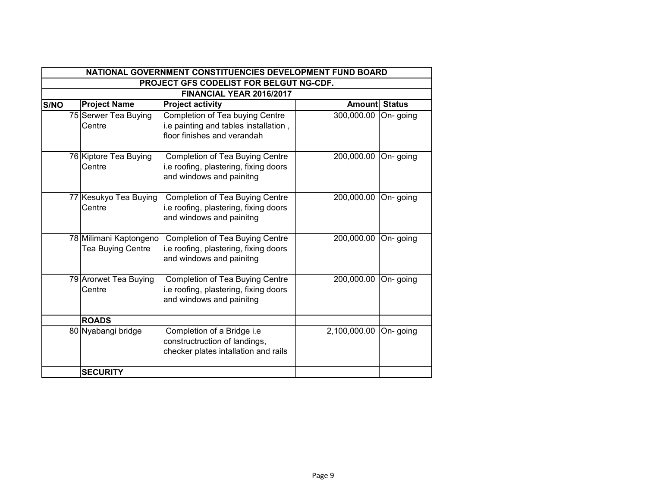|      | NATIONAL GOVERNMENT CONSTITUENCIES DEVELOPMENT FUND BOARD |                                                    |                                                                                                         |                      |          |  |
|------|-----------------------------------------------------------|----------------------------------------------------|---------------------------------------------------------------------------------------------------------|----------------------|----------|--|
|      | PROJECT GFS CODELIST FOR BELGUT NG-CDF.                   |                                                    |                                                                                                         |                      |          |  |
|      |                                                           |                                                    | <b>FINANCIAL YEAR 2016/2017</b>                                                                         |                      |          |  |
| S/NO |                                                           | <b>Project Name</b>                                | <b>Project activity</b>                                                                                 | <b>Amount Status</b> |          |  |
|      |                                                           | 75 Serwer Tea Buying<br>Centre                     | Completion of Tea buying Centre<br>i.e painting and tables installation,<br>floor finishes and verandah | 300,000.00           | On-going |  |
|      |                                                           | 76 Kiptore Tea Buying<br>Centre                    | Completion of Tea Buying Centre<br>i.e roofing, plastering, fixing doors<br>and windows and painitng    | 200,000.00           | On-going |  |
|      |                                                           | 77 Kesukyo Tea Buying<br>Centre                    | Completion of Tea Buying Centre<br>i.e roofing, plastering, fixing doors<br>and windows and painitng    | 200,000.00           | On-going |  |
|      |                                                           | 78 Milimani Kaptongeno<br><b>Tea Buying Centre</b> | Completion of Tea Buying Centre<br>i.e roofing, plastering, fixing doors<br>and windows and painitng    | 200,000.00           | On-going |  |
|      |                                                           | 79 Arorwet Tea Buying<br>Centre                    | Completion of Tea Buying Centre<br>i.e roofing, plastering, fixing doors<br>and windows and painitng    | 200,000.00           | On-going |  |
|      |                                                           | <b>ROADS</b>                                       |                                                                                                         |                      |          |  |
|      |                                                           | 80 Nyabangi bridge                                 | Completion of a Bridge i.e<br>constructruction of landings,<br>checker plates intallation and rails     | 2,100,000.00         | On-going |  |
|      |                                                           | <b>SECURITY</b>                                    |                                                                                                         |                      |          |  |